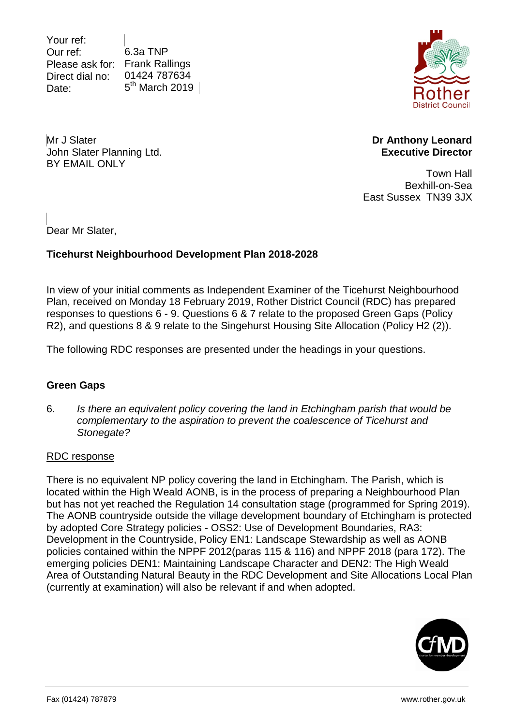Your ref: Our ref: Please ask for: Frank Rallings Direct dial no: Date: 6.3a TNP 01424 787634  $5<sup>th</sup>$  March 2019



Mr J Slater John Slater Planning Ltd. BY EMAIL ONLY

**Dr Anthony Leonard Executive Director** 

Town Hall Bexhill-on-Sea East Sussex TN39 3JX

Dear Mr Slater,

# **Ticehurst Neighbourhood Development Plan 2018-2028**

In view of your initial comments as Independent Examiner of the Ticehurst Neighbourhood Plan, received on Monday 18 February 2019, Rother District Council (RDC) has prepared responses to questions 6 - 9. Questions 6 & 7 relate to the proposed Green Gaps (Policy R2), and questions 8 & 9 relate to the Singehurst Housing Site Allocation (Policy H2 (2)).

The following RDC responses are presented under the headings in your questions.

# **Green Gaps**

6. *Is there an equivalent policy covering the land in Etchingham parish that would be complementary to the aspiration to prevent the coalescence of Ticehurst and Stonegate?*

### RDC response

There is no equivalent NP policy covering the land in Etchingham. The Parish, which is located within the High Weald AONB, is in the process of preparing a Neighbourhood Plan but has not yet reached the Regulation 14 consultation stage (programmed for Spring 2019). The AONB countryside outside the village development boundary of Etchingham is protected by adopted Core Strategy policies - OSS2: Use of Development Boundaries, RA3: Development in the Countryside, Policy EN1: Landscape Stewardship as well as AONB policies contained within the NPPF 2012(paras 115 & 116) and NPPF 2018 (para 172). The emerging policies DEN1: Maintaining Landscape Character and DEN2: The High Weald Area of Outstanding Natural Beauty in the RDC Development and Site Allocations Local Plan (currently at examination) will also be relevant if and when adopted.

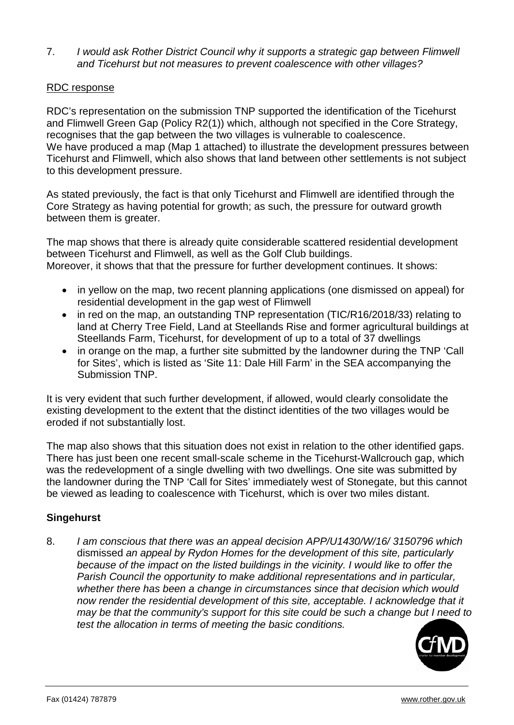7. *I would ask Rother District Council why it supports a strategic gap between Flimwell and Ticehurst but not measures to prevent coalescence with other villages?*

### RDC response

RDC's representation on the submission TNP supported the identification of the Ticehurst and Flimwell Green Gap (Policy R2(1)) which, although not specified in the Core Strategy, recognises that the gap between the two villages is vulnerable to coalescence. We have produced a map (Map 1 attached) to illustrate the development pressures between Ticehurst and Flimwell, which also shows that land between other settlements is not subject to this development pressure.

As stated previously, the fact is that only Ticehurst and Flimwell are identified through the Core Strategy as having potential for growth; as such, the pressure for outward growth between them is greater.

The map shows that there is already quite considerable scattered residential development between Ticehurst and Flimwell, as well as the Golf Club buildings. Moreover, it shows that that the pressure for further development continues. It shows:

- in yellow on the map, two recent planning applications (one dismissed on appeal) for residential development in the gap west of Flimwell
- in red on the map, an outstanding TNP representation (TIC/R16/2018/33) relating to land at Cherry Tree Field, Land at Steellands Rise and former agricultural buildings at Steellands Farm, Ticehurst, for development of up to a total of 37 dwellings
- in orange on the map, a further site submitted by the landowner during the TNP 'Call for Sites', which is listed as 'Site 11: Dale Hill Farm' in the SEA accompanying the Submission TNP.

It is very evident that such further development, if allowed, would clearly consolidate the existing development to the extent that the distinct identities of the two villages would be eroded if not substantially lost.

The map also shows that this situation does not exist in relation to the other identified gaps. There has just been one recent small-scale scheme in the Ticehurst-Wallcrouch gap, which was the redevelopment of a single dwelling with two dwellings. One site was submitted by the landowner during the TNP 'Call for Sites' immediately west of Stonegate, but this cannot be viewed as leading to coalescence with Ticehurst, which is over two miles distant.

# **Singehurst**

8. *I am conscious that there was an appeal decision APP/U1430/W/16/ 3150796 which*  dismissed *an appeal by Rydon Homes for the development of this site, particularly because of the impact on the listed buildings in the vicinity. I would like to offer the Parish Council the opportunity to make additional representations and in particular, whether there has been a change in circumstances since that decision which would now render the residential development of this site, acceptable. I acknowledge that it may be that the community's support for this site could be such a change but I need to test the allocation in terms of meeting the basic conditions.*

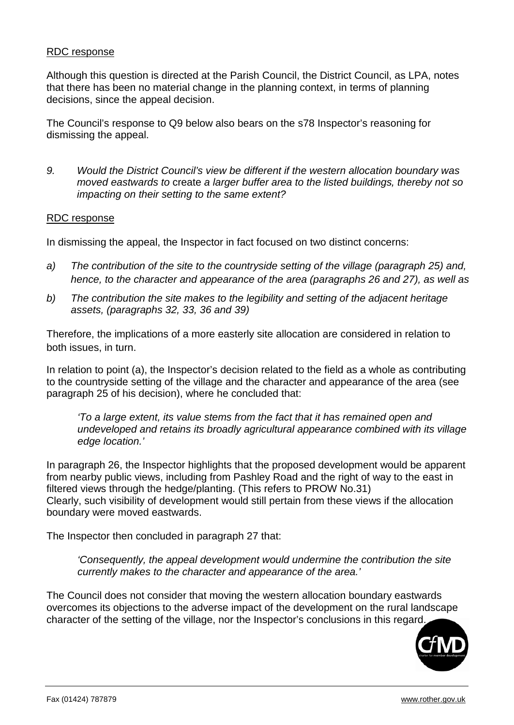### RDC response

Although this question is directed at the Parish Council, the District Council, as LPA, notes that there has been no material change in the planning context, in terms of planning decisions, since the appeal decision.

The Council's response to Q9 below also bears on the s78 Inspector's reasoning for dismissing the appeal.

*9. Would the District Council's view be different if the western allocation boundary was moved eastwards to* create *a larger buffer area to the listed buildings, thereby not so impacting on their setting to the same extent?*

#### RDC response

In dismissing the appeal, the Inspector in fact focused on two distinct concerns:

- *a) The contribution of the site to the countryside setting of the village (paragraph 25) and, hence, to the character and appearance of the area (paragraphs 26 and 27), as well as*
- *b) The contribution the site makes to the legibility and setting of the adjacent heritage assets, (paragraphs 32, 33, 36 and 39)*

Therefore, the implications of a more easterly site allocation are considered in relation to both issues, in turn.

In relation to point (a), the Inspector's decision related to the field as a whole as contributing to the countryside setting of the village and the character and appearance of the area (see paragraph 25 of his decision), where he concluded that:

*'To a large extent, its value stems from the fact that it has remained open and undeveloped and retains its broadly agricultural appearance combined with its village edge location.'*

In paragraph 26, the Inspector highlights that the proposed development would be apparent from nearby public views, including from Pashley Road and the right of way to the east in filtered views through the hedge/planting. (This refers to PROW No.31) Clearly, such visibility of development would still pertain from these views if the allocation boundary were moved eastwards.

The Inspector then concluded in paragraph 27 that:

*'Consequently, the appeal development would undermine the contribution the site currently makes to the character and appearance of the area.'*

The Council does not consider that moving the western allocation boundary eastwards overcomes its objections to the adverse impact of the development on the rural landscape character of the setting of the village, nor the Inspector's conclusions in this regard.

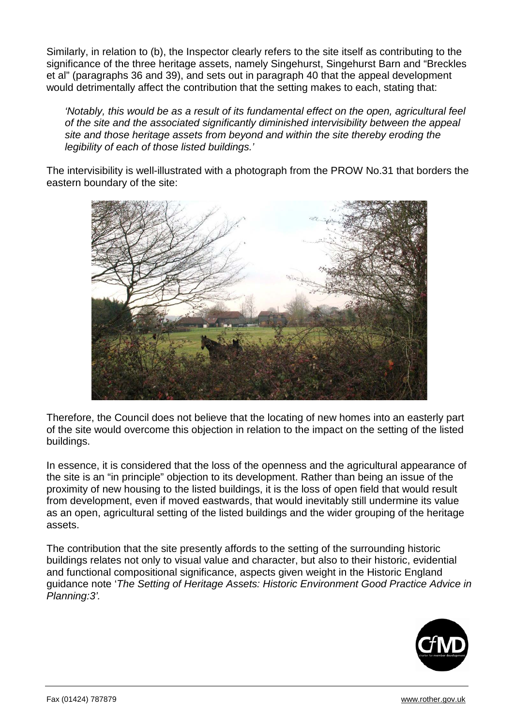Similarly, in relation to (b), the Inspector clearly refers to the site itself as contributing to the significance of the three heritage assets, namely Singehurst, Singehurst Barn and "Breckles et al" (paragraphs 36 and 39), and sets out in paragraph 40 that the appeal development would detrimentally affect the contribution that the setting makes to each, stating that:

*'Notably, this would be as a result of its fundamental effect on the open, agricultural feel of the site and the associated significantly diminished intervisibility between the appeal site and those heritage assets from beyond and within the site thereby eroding the legibility of each of those listed buildings.'*

The intervisibility is well-illustrated with a photograph from the PROW No.31 that borders the eastern boundary of the site:



Therefore, the Council does not believe that the locating of new homes into an easterly part of the site would overcome this objection in relation to the impact on the setting of the listed buildings.

In essence, it is considered that the loss of the openness and the agricultural appearance of the site is an "in principle" objection to its development. Rather than being an issue of the proximity of new housing to the listed buildings, it is the loss of open field that would result from development, even if moved eastwards, that would inevitably still undermine its value as an open, agricultural setting of the listed buildings and the wider grouping of the heritage assets.

The contribution that the site presently affords to the setting of the surrounding historic buildings relates not only to visual value and character, but also to their historic, evidential and functional compositional significance, aspects given weight in the Historic England guidance note '*The Setting of Heritage Assets: Historic Environment Good Practice Advice in Planning:3'.*